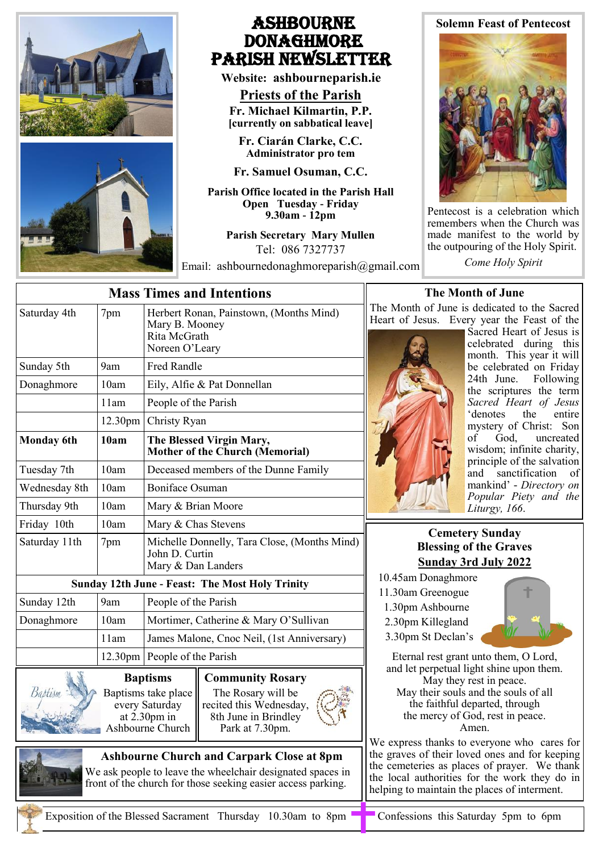

## Ashbourne **DONAGHMORE** Parish NEWSLETTER

**Website: ashbourneparish.ie**

**Priests of the Parish Fr. Michael Kilmartin, P.P. [currently on sabbatical leave]**

**Fr. Ciarán Clarke, C.C. Administrator pro tem**

**Fr. Samuel Osuman, C.C.**

**Parish Office located in the Parish Hall Open Tuesday - Friday 9.30am - 12pm**

> **Parish Secretary Mary Mullen** Tel: 086 7327737

Email: ashbournedonaghmoreparish@gmail.com

# **Solemn Feast of Pentecost**



Pentecost is a celebration which remembers when the Church was made manifest to the world by the outpouring of the Holy Spirit.

*Come Holy Spirit*

|                   | <b>The Mont</b> |                                                                                                 |                                                                                                                     |                                                                                                                                  |
|-------------------|-----------------|-------------------------------------------------------------------------------------------------|---------------------------------------------------------------------------------------------------------------------|----------------------------------------------------------------------------------------------------------------------------------|
| Saturday 4th      | 7pm             | Herbert Ronan, Painstown, (Months Mind)<br>Mary B. Mooney<br>Rita McGrath<br>Noreen O'Leary     |                                                                                                                     | The Month of June is<br>Heart of Jesus.<br>Every<br>S<br>$\mathbf{C}$<br>$\mathbf n$                                             |
| Sunday 5th        | 9am             | <b>Fred Randle</b>                                                                              |                                                                                                                     | b                                                                                                                                |
| Donaghmore        | 10am            | Eily, Alfie & Pat Donnellan                                                                     |                                                                                                                     | $\overline{2}$<br>tł                                                                                                             |
|                   | 11am            | People of the Parish                                                                            |                                                                                                                     | $\overline{S}$                                                                                                                   |
|                   | 12.30pm         | Christy Ryan                                                                                    |                                                                                                                     | $\cdot$<br>$\mathbf n$                                                                                                           |
| <b>Monday</b> 6th | 10am            | The Blessed Virgin Mary,<br><b>Mother of the Church (Memorial)</b>                              |                                                                                                                     | $\mathbf{O}$<br>W                                                                                                                |
| Tuesday 7th       | 10am            | Deceased members of the Dunne Family                                                            |                                                                                                                     | $\mathbf{p}$<br>a <sub>1</sub>                                                                                                   |
| Wednesday 8th     | 10am            | <b>Boniface Osuman</b>                                                                          |                                                                                                                     | $\mathbf n$<br>$\overline{P}$                                                                                                    |
| Thursday 9th      | 10am            | Mary & Brian Moore                                                                              |                                                                                                                     | L                                                                                                                                |
| Friday 10th       | 10am            | Mary & Chas Stevens                                                                             |                                                                                                                     | <b>Cemeter</b>                                                                                                                   |
| Saturday 11th     | 7pm             | Michelle Donnelly, Tara Close, (Months Mind)<br>John D. Curtin<br>Mary & Dan Landers            |                                                                                                                     | <b>Blessing of</b><br><b>Sunday 3rd</b>                                                                                          |
|                   |                 |                                                                                                 | <b>Sunday 12th June - Feast: The Most Holy Trinity</b>                                                              | 10.45am Donaghmor                                                                                                                |
| Sunday 12th       | 9am             | People of the Parish                                                                            |                                                                                                                     | 11.30am Greenogue<br>1.30pm Ashbourne                                                                                            |
| Donaghmore        | 10am            | Mortimer, Catherine & Mary O'Sullivan                                                           |                                                                                                                     | 2.30pm Killegland                                                                                                                |
|                   | 11am            |                                                                                                 | James Malone, Cnoc Neil, (1st Anniversary)                                                                          | 3.30pm St Declan's                                                                                                               |
|                   | $12.30$ pm      | People of the Parish                                                                            |                                                                                                                     | Eternal rest grant                                                                                                               |
| Babtism           |                 | <b>Baptisms</b><br>Baptisms take place<br>every Saturday<br>at $2.30$ pm in<br>Ashbourne Church | <b>Community Rosary</b><br>The Rosary will be<br>recited this Wednesday,<br>8th June in Brindley<br>Park at 7.30pm. | and let perpetual lig<br>May they re<br>May their souls a<br>the faithful dep<br>the mercy of Go<br>An<br>We express thanks to e |

#### **onth of June**

is dedicated to the Sacred ery year the Feast of the

> Sacred Heart of Jesus is celebrated during this month. This year it will be celebrated on Friday 24th June. Following the scriptures the term *Sacred Heart of Jesus*  'denotes the entire mystery of Christ: Son<br>of God, uncreated God, uncreated wisdom; infinite charity, principle of the salvation and sanctification of mankind' - *Directory on Popular Piety and the Liturgy, 166*.

#### **Cery Sunday** *<u>bless</u>* **Sunday 3rd July 2022**

- nore
- 
- 
- 



Int unto them, O Lord, light shine upon them. y rest in peace. ls and the souls of all departed, through God, rest in peace. Amen.

to everyone who cares for the graves of their loved ones and for keeping the cemeteries as places of prayer. We thank the local authorities for the work they do in helping to maintain the places of interment.



**Ashbourne Church and Carpark Close at 8pm**  We ask people to leave the wheelchair designated spaces in front of the church for those seeking easier access parking.

Exposition of the Blessed Sacrament Thursday 10.30am to 8pm Confessions this Saturday 5pm to 6pm